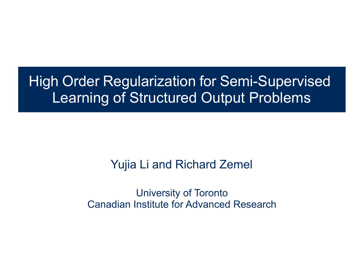#### High Order Regularization for Semi-Supervised Learning of Structured Output Problems

#### Yujia Li and Richard Zemel

University of Toronto Canadian Institute for Advanced Research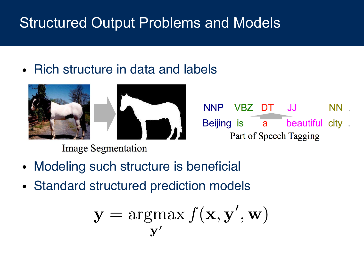# Structured Output Problems and Models

• Rich structure in data and labels



**Image Segmentation** 

- Modeling such structure is beneficial
- Standard structured prediction models

$$
\mathbf{y} = \underset{\mathbf{y}'}{\text{argmax}} f(\mathbf{x}, \mathbf{y}', \mathbf{w})
$$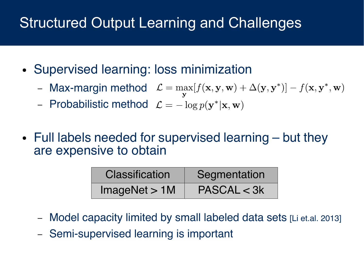# **Structured Output Learning and Challenges**

- Supervised learning: loss minimization
	- Max-margin method  $\mathcal{L} = \max_{\mathbf{y}} [f(\mathbf{x}, \mathbf{y}, \mathbf{w}) + \Delta(\mathbf{y}, \mathbf{y}^*)] f(\mathbf{x}, \mathbf{y}^*, \mathbf{w})$
	- Probabilistic method  $\mathcal{L} = -\log p(\mathbf{y}^*|\mathbf{x}, \mathbf{w})$
- Full labels needed for supervised learning but they are expensive to obtain

| <b>Classification</b> | Segmentation |  |
|-----------------------|--------------|--|
| ImageNet > 1M         | PASCAL < 3k  |  |

- Model capacity limited by small labeled data sets [Li et.al. 2013]
- Semi-supervised learning is important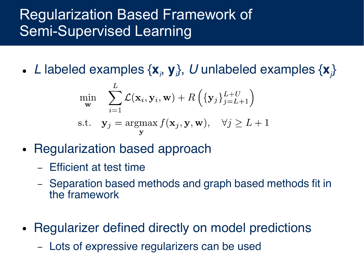## Regularization Based Framework of Semi-Supervised Learning

• L labeled examples  $\{x_{i}, y_{i}\}$ , U unlabeled examples  $\{x_{i}\}$ 

$$
\min_{\mathbf{w}} \sum_{i=1}^{L} \mathcal{L}(\mathbf{x}_i, \mathbf{y}_i, \mathbf{w}) + R\left(\{\mathbf{y}_j\}_{j=L+1}^{L+U}\right)
$$
\n
$$
\text{s.t.} \quad \mathbf{y}_j = \operatorname*{argmax}_{\mathbf{y}} f(\mathbf{x}_j, \mathbf{y}, \mathbf{w}), \quad \forall j \ge L+1
$$

- Regularization based approach
	- Efficient at test time
	- Separation based methods and graph based methods fit in the framework
- Regularizer defined directly on model predictions
	- Lots of expressive regularizers can be used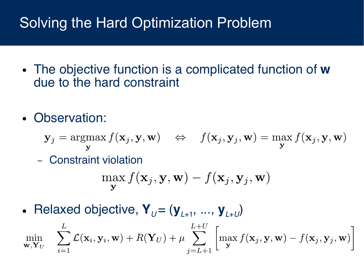## Solving the Hard Optimization Problem

- The objective function is a complicated function of **w** due to the hard constraint
- Observation:

$$
\mathbf{y}_j = \underset{\mathbf{y}}{\operatorname{argmax}} f(\mathbf{x}_j, \mathbf{y}, \mathbf{w}) \quad \Leftrightarrow \quad f(\mathbf{x}_j, \mathbf{y}_j, \mathbf{w}) = \underset{\mathbf{y}}{\operatorname{max}} f(\mathbf{x}_j, \mathbf{y}, \mathbf{w})
$$

– Constraint violation

$$
\max_{\mathbf{y}} f(\mathbf{x}_j, \mathbf{y}, \mathbf{w}) - f(\mathbf{x}_j, \mathbf{y}_j, \mathbf{w})
$$

• Relaxed objective,  $Y_U = (y_{L+1}, ..., y_{L+U})$ 

$$
\min_{\mathbf{w},\mathbf{Y}_U} \quad \sum_{i=1}^L \mathcal{L}(\mathbf{x}_i, \mathbf{y}_i, \mathbf{w}) + R(\mathbf{Y}_U) + \mu \sum_{j=L+1}^{L+U} \left[ \max_{\mathbf{y}} f(\mathbf{x}_j, \mathbf{y}, \mathbf{w}) - f(\mathbf{x}_j, \mathbf{y}_j, \mathbf{w}) \right]
$$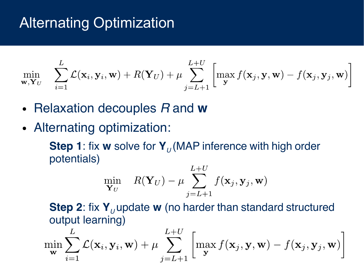## Alternating Optimization

$$
\min_{\mathbf{w},\mathbf{Y}_U} \quad \sum_{i=1}^L \mathcal{L}(\mathbf{x}_i,\mathbf{y}_i,\mathbf{w}) + R(\mathbf{Y}_U) + \mu \sum_{j=L+1}^{L+U} \left[ \max_{\mathbf{y}} f(\mathbf{x}_j,\mathbf{y},\mathbf{w}) - f(\mathbf{x}_j,\mathbf{y}_j,\mathbf{w}) \right]
$$

- Relaxation decouples R and **w**
- Alternating optimization:

**Step 1**: fix **w** solve for **Y**<sub>11</sub> (MAP inference with high order potentials)

$$
\min_{\mathbf{Y}_U} \quad R(\mathbf{Y}_U) - \mu \sum_{j=L+1}^{L+U} f(\mathbf{x}_j, \mathbf{y}_j, \mathbf{w})
$$

**Step 2:** fix **Y**<sub>*I*</sub>, update **w** (no harder than standard structured output learning)

$$
\min_{\mathbf{w}} \sum_{i=1}^{L} \mathcal{L}(\mathbf{x}_i, \mathbf{y}_i, \mathbf{w}) + \mu \sum_{j=L+1}^{L+U} \left[ \max_{\mathbf{y}} f(\mathbf{x}_j, \mathbf{y}, \mathbf{w}) - f(\mathbf{x}_j, \mathbf{y}_j, \mathbf{w}) \right]
$$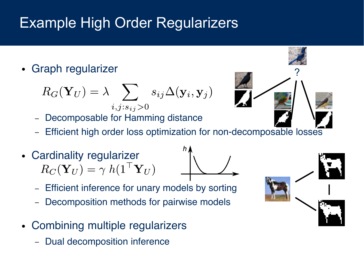# Example High Order Regularizers

Graph regularizer

$$
R_G(\mathbf{Y}_U) = \lambda \sum_{i,j:s_{ij}>0} s_{ij} \Delta(\mathbf{y}_i, \mathbf{y}_j)
$$

- Decomposable for Hamming distance
- Efficient high order loss optimization for non-decomposable losses
- Cardinality regularizer<br> $R_C(\mathbf{Y}_U) = \gamma h (1^\top \mathbf{Y}_U)$ 
	- Efficient inference for unary models by sorting
	- Decomposition methods for pairwise models
- Combining multiple regularizers
	- Dual decomposition inference



?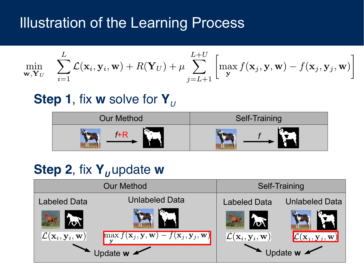### Illustration of the Learning Process

$$
\min_{\mathbf{w},\mathbf{Y}_U} \quad \sum_{i=1}^L \mathcal{L}(\mathbf{x}_i, \mathbf{y}_i, \mathbf{w}) + R(\mathbf{Y}_U) + \mu \sum_{j=L+1}^{L+U} \left[ \max_{\mathbf{y}} f(\mathbf{x}_j, \mathbf{y}, \mathbf{w}) - f(\mathbf{x}_j, \mathbf{y}_j, \mathbf{w}) \right]
$$

#### **Step 1**, fix **w** solve for **Y**<sub>U</sub>



#### **Step 2, fix Y<sub>u</sub>, update w**

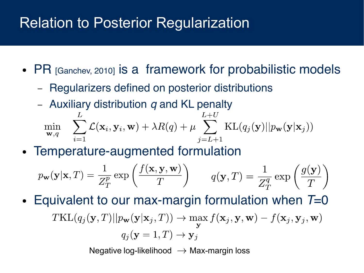## Relation to Posterior Regularization

- PR [Ganchev, 2010] is a framework for probabilistic models
	- Regularizers defned on posterior distributions
	- Auxiliary distribution  $q$  and KL penalty

$$
\min_{\mathbf{w},q} \quad \sum_{i=1}^{L} \mathcal{L}(\mathbf{x}_i, \mathbf{y}_i, \mathbf{w}) + \lambda R(q) + \mu \sum_{j=L+1}^{L+U} \text{KL}(q_j(\mathbf{y})||p_{\mathbf{w}}(\mathbf{y}|\mathbf{x}_j))
$$

• Temperature-augmented formulation

$$
p_{\mathbf{w}}(\mathbf{y}|\mathbf{x},T) = \frac{1}{Z_T^p} \exp\left(\frac{f(\mathbf{x}, \mathbf{y}, \mathbf{w})}{T}\right) \qquad q(\mathbf{y},T) = \frac{1}{Z_T^q} \exp\left(\frac{g(\mathbf{y})}{T}\right)
$$

• Equivalent to our max-margin formulation when  $T=0$  $TKL(q_j(\mathbf{y},T)||p_{\mathbf{w}}(\mathbf{y}|\mathbf{x}_j,T)) \rightarrow \max_{\mathbf{y}} f(\mathbf{x}_j, \mathbf{y}, \mathbf{w}) - f(\mathbf{x}_j, \mathbf{y}_j, \mathbf{w})$  $q_i(\mathbf{y}=1,T) \to \mathbf{y}_i$ 

Negative log-likelihood  $\rightarrow$  Max-margin loss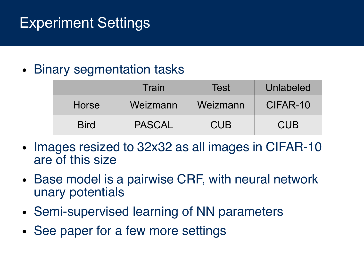# Experiment Settings

#### • Binary segmentation tasks

|              | Train    | <b>Test</b> | Unlabeled |
|--------------|----------|-------------|-----------|
| <b>Horse</b> | Weizmann | Weizmann    | CIFAR-10  |
| <b>Bird</b>  | PASCAL   | CUB         | CUB       |

- Images resized to 32x32 as all images in CIFAR-10 are of this size
- Base model is a pairwise CRF, with neural network unary potentials
- Semi-supervised learning of NN parameters
- See paper for a few more settings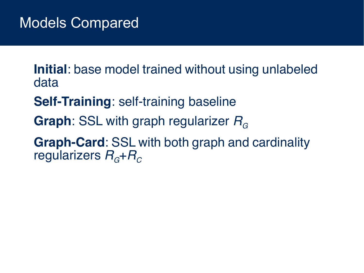**Initial**: base model trained without using unlabeled data

**Self-Training**: self-training baseline

**Graph**: SSL with graph regularizer  $R<sub>G</sub>$ 

**Graph-Card**: SSL with both graph and cardinality regularizers  $R_{\rm c}$ + $R_{\rm c}$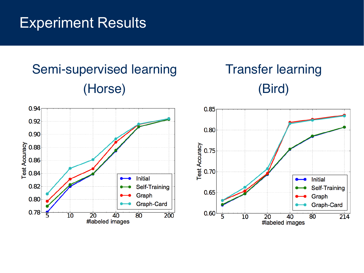## Experiment Results

# Semi-supervised learning (Horse)

# Transfer learning (Bird)

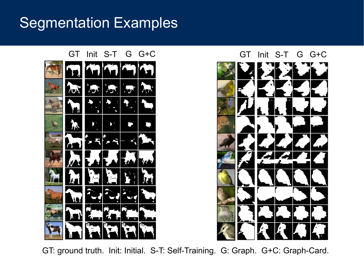## Segmentation Examples





GT: ground truth. Init: Initial. S-T: Self-Training. G: Graph. G+C: Graph-Card.